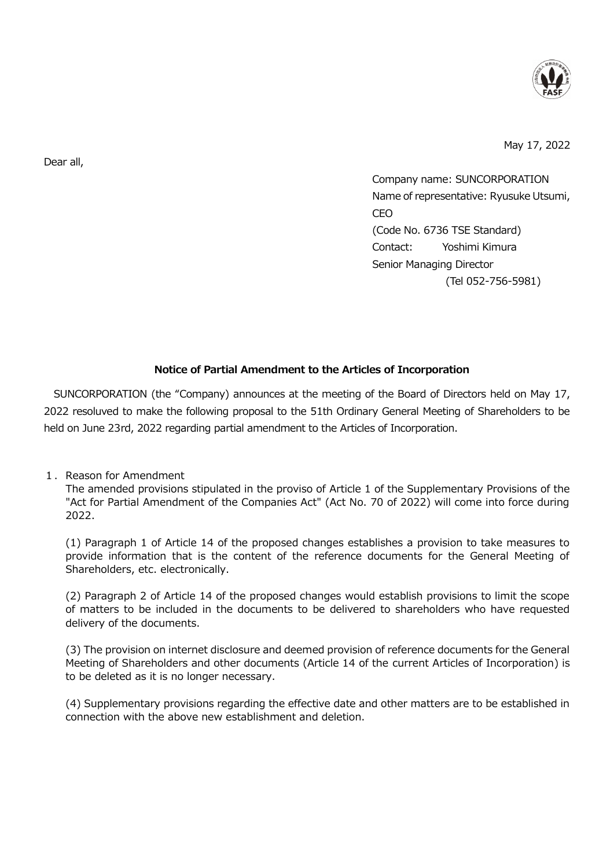

May 17, 2022

Company name: SUNCORPORATION Name of representative: Ryusuke Utsumi, CEO (Code No. 6736 TSE Standard) Contact: Yoshimi Kimura Senior Managing Director (Tel 052-756-5981)

## **Notice of Partial Amendment to the Articles of Incorporation**

SUNCORPORATION (the "Company) announces at the meeting of the Board of Directors held on May 17, 2022 resoluved to make the following proposal to the 51th Ordinary General Meeting of Shareholders to be held on June 23rd, 2022 regarding partial amendment to the Articles of Incorporation.

1. Reason for Amendment

The amended provisions stipulated in the proviso of Article 1 of the Supplementary Provisions of the "Act for Partial Amendment of the Companies Act" (Act No. 70 of 2022) will come into force during 2022.

(1) Paragraph 1 of Article 14 of the proposed changes establishes a provision to take measures to provide information that is the content of the reference documents for the General Meeting of Shareholders, etc. electronically.

(2) Paragraph 2 of Article 14 of the proposed changes would establish provisions to limit the scope of matters to be included in the documents to be delivered to shareholders who have requested delivery of the documents.

(3) The provision on internet disclosure and deemed provision of reference documents for the General Meeting of Shareholders and other documents (Article 14 of the current Articles of Incorporation) is to be deleted as it is no longer necessary.

(4) Supplementary provisions regarding the effective date and other matters are to be established in connection with the above new establishment and deletion.

Dear all,